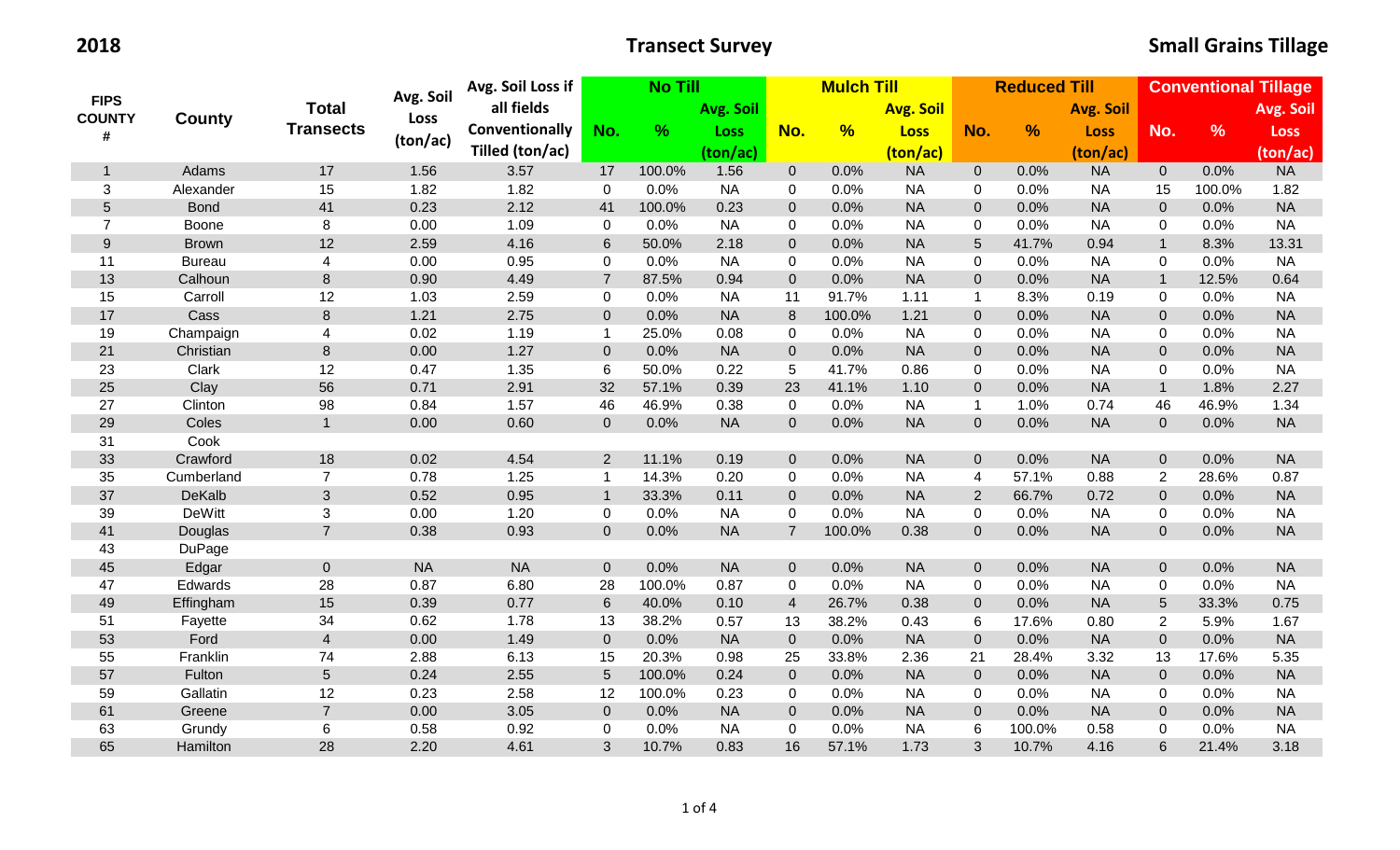| <b>FIPS</b><br><b>COUNTY</b><br># | <b>County</b> | <b>Total</b>            |           | Avg. Soil Loss if | <b>No Till</b>  |               |             | <b>Mulch Till</b> |                  |             |                  | <b>Reduced Till</b> |                  | <b>Conventional Tillage</b> |               |             |  |
|-----------------------------------|---------------|-------------------------|-----------|-------------------|-----------------|---------------|-------------|-------------------|------------------|-------------|------------------|---------------------|------------------|-----------------------------|---------------|-------------|--|
|                                   |               |                         | Avg. Soil | all fields        |                 |               | Avg. Soil   |                   | <b>Avg. Soil</b> |             |                  |                     | <b>Avg. Soil</b> |                             |               | Avg. Soil   |  |
|                                   |               | <b>Transects</b>        | Loss      | Conventionally    | No.             | $\frac{9}{6}$ | <b>Loss</b> | No.               | $\frac{9}{6}$    | <b>Loss</b> | No.              | $\frac{9}{6}$       | <b>Loss</b>      | No.                         | $\frac{9}{6}$ | <b>Loss</b> |  |
|                                   |               |                         | (ton/ac)  | Tilled (ton/ac)   |                 |               | (ton/ac)    |                   |                  | (ton/ac)    |                  |                     | (ton/ac)         |                             |               | (ton/ac)    |  |
| $\mathbf{1}$                      | Adams         | 17                      | 1.56      | 3.57              | 17              | 100.0%        | 1.56        | $\overline{0}$    | 0.0%             | <b>NA</b>   | $\overline{0}$   | 0.0%                | <b>NA</b>        | $\overline{0}$              | 0.0%          | <b>NA</b>   |  |
| 3                                 | Alexander     | 15                      | 1.82      | 1.82              | $\mathbf 0$     | 0.0%          | <b>NA</b>   | 0                 | 0.0%             | <b>NA</b>   | $\mathbf 0$      | 0.0%                | <b>NA</b>        | 15                          | 100.0%        | 1.82        |  |
| $\overline{5}$                    | <b>Bond</b>   | 41                      | 0.23      | 2.12              | 41              | 100.0%        | 0.23        | $\overline{0}$    | 0.0%             | <b>NA</b>   | $\mathbf{0}$     | 0.0%                | <b>NA</b>        | $\overline{0}$              | 0.0%          | <b>NA</b>   |  |
| $\overline{7}$                    | Boone         | 8                       | 0.00      | 1.09              | $\mathbf 0$     | 0.0%          | <b>NA</b>   | 0                 | 0.0%             | <b>NA</b>   | $\mathbf 0$      | 0.0%                | <b>NA</b>        | 0                           | 0.0%          | <b>NA</b>   |  |
| $9\,$                             | <b>Brown</b>  | 12                      | 2.59      | 4.16              | $6\phantom{1}$  | 50.0%         | 2.18        | $\Omega$          | 0.0%             | <b>NA</b>   | $\sqrt{5}$       | 41.7%               | 0.94             | $\mathbf{1}$                | 8.3%          | 13.31       |  |
| 11                                | <b>Bureau</b> | 4                       | 0.00      | 0.95              | 0               | 0.0%          | <b>NA</b>   | 0                 | 0.0%             | <b>NA</b>   | $\mathbf 0$      | 0.0%                | <b>NA</b>        | 0                           | 0.0%          | <b>NA</b>   |  |
| 13                                | Calhoun       | 8                       | 0.90      | 4.49              | $\overline{7}$  | 87.5%         | 0.94        | $\overline{0}$    | 0.0%             | <b>NA</b>   | $\overline{0}$   | 0.0%                | <b>NA</b>        | $\mathbf{1}$                | 12.5%         | 0.64        |  |
| 15                                | Carroll       | 12                      | 1.03      | 2.59              | 0               | 0.0%          | <b>NA</b>   | 11                | 91.7%            | 1.11        | $\mathbf{1}$     | 8.3%                | 0.19             | 0                           | 0.0%          | <b>NA</b>   |  |
| 17                                | Cass          | $\bf 8$                 | 1.21      | 2.75              | $\overline{0}$  | 0.0%          | <b>NA</b>   | 8                 | 100.0%           | 1.21        | $\overline{0}$   | 0.0%                | <b>NA</b>        | $\overline{0}$              | 0.0%          | <b>NA</b>   |  |
| 19                                | Champaign     | $\overline{4}$          | 0.02      | 1.19              | $\mathbf{1}$    | 25.0%         | 0.08        | 0                 | 0.0%             | <b>NA</b>   | $\mathbf 0$      | 0.0%                | <b>NA</b>        | 0                           | 0.0%          | <b>NA</b>   |  |
| 21                                | Christian     | $\bf 8$                 | 0.00      | 1.27              | $\overline{0}$  | 0.0%          | <b>NA</b>   | $\overline{0}$    | 0.0%             | <b>NA</b>   | $\pmb{0}$        | 0.0%                | <b>NA</b>        | $\overline{0}$              | 0.0%          | <b>NA</b>   |  |
| 23                                | Clark         | 12                      | 0.47      | 1.35              | 6               | 50.0%         | 0.22        | 5                 | 41.7%            | 0.86        | $\pmb{0}$        | 0.0%                | <b>NA</b>        | 0                           | 0.0%          | <b>NA</b>   |  |
| 25                                | Clay          | 56                      | 0.71      | 2.91              | 32              | 57.1%         | 0.39        | 23                | 41.1%            | 1.10        | $\pmb{0}$        | 0.0%                | <b>NA</b>        | $\mathbf{1}$                | 1.8%          | 2.27        |  |
| 27                                | Clinton       | 98                      | 0.84      | 1.57              | 46              | 46.9%         | 0.38        | 0                 | 0.0%             | <b>NA</b>   | $\mathbf 1$      | 1.0%                | 0.74             | 46                          | 46.9%         | 1.34        |  |
| 29                                | Coles         | $\mathbf{1}$            | 0.00      | 0.60              | $\overline{0}$  | 0.0%          | <b>NA</b>   | $\mathbf{0}$      | 0.0%             | <b>NA</b>   | $\pmb{0}$        | 0.0%                | <b>NA</b>        | $\mathbf{O}$                | 0.0%          | <b>NA</b>   |  |
| 31                                | Cook          |                         |           |                   |                 |               |             |                   |                  |             |                  |                     |                  |                             |               |             |  |
| 33                                | Crawford      | 18                      | 0.02      | 4.54              | 2               | 11.1%         | 0.19        | $\mathbf{0}$      | 0.0%             | <b>NA</b>   | $\mathbf{0}$     | 0.0%                | <b>NA</b>        | $\mathbf{0}$                | 0.0%          | <b>NA</b>   |  |
| 35                                | Cumberland    | $\overline{7}$          | 0.78      | 1.25              | $\mathbf{1}$    | 14.3%         | 0.20        | $\mathbf 0$       | 0.0%             | <b>NA</b>   | 4                | 57.1%               | 0.88             | $\overline{2}$              | 28.6%         | 0.87        |  |
| 37                                | DeKalb        | $\sqrt{3}$              | 0.52      | 0.95              | $\mathbf{1}$    | 33.3%         | 0.11        | $\overline{0}$    | 0.0%             | <b>NA</b>   | $\overline{2}$   | 66.7%               | 0.72             | $\mathbf{O}$                | 0.0%          | <b>NA</b>   |  |
| 39                                | <b>DeWitt</b> | 3                       | 0.00      | 1.20              | $\mathbf 0$     | 0.0%          | <b>NA</b>   | 0                 | 0.0%             | <b>NA</b>   | $\mathbf 0$      | 0.0%                | <b>NA</b>        | 0                           | 0.0%          | <b>NA</b>   |  |
| 41                                | Douglas       | $\overline{7}$          | 0.38      | 0.93              | $\mathbf 0$     | 0.0%          | <b>NA</b>   | $\overline{7}$    | 100.0%           | 0.38        | $\mathbf 0$      | 0.0%                | <b>NA</b>        | $\overline{0}$              | 0.0%          | <b>NA</b>   |  |
| 43                                | DuPage        |                         |           |                   |                 |               |             |                   |                  |             |                  |                     |                  |                             |               |             |  |
| 45                                | Edgar         | $\mathbf 0$             | <b>NA</b> | <b>NA</b>         | $\overline{0}$  | 0.0%          | <b>NA</b>   | $\mathbf{0}$      | 0.0%             | <b>NA</b>   | $\boldsymbol{0}$ | 0.0%                | <b>NA</b>        | $\overline{0}$              | 0.0%          | <b>NA</b>   |  |
| 47                                | Edwards       | 28                      | 0.87      | 6.80              | 28              | 100.0%        | 0.87        | $\mathbf 0$       | 0.0%             | <b>NA</b>   | $\mathbf 0$      | 0.0%                | <b>NA</b>        | $\mathbf 0$                 | 0.0%          | <b>NA</b>   |  |
| 49                                | Effingham     | 15                      | 0.39      | 0.77              | $\,6\,$         | 40.0%         | 0.10        | $\overline{4}$    | 26.7%            | 0.38        | $\boldsymbol{0}$ | 0.0%                | <b>NA</b>        | $5\phantom{.}$              | 33.3%         | 0.75        |  |
| 51                                | Fayette       | 34                      | 0.62      | 1.78              | 13              | 38.2%         | 0.57        | 13                | 38.2%            | 0.43        | 6                | 17.6%               | 0.80             | $\overline{2}$              | 5.9%          | 1.67        |  |
| 53                                | Ford          | $\overline{\mathbf{4}}$ | 0.00      | 1.49              | $\mathbf 0$     | 0.0%          | <b>NA</b>   | $\mathbf{0}$      | 0.0%             | <b>NA</b>   | $\pmb{0}$        | 0.0%                | $\sf NA$         | $\overline{0}$              | 0.0%          | <b>NA</b>   |  |
| 55                                | Franklin      | 74                      | 2.88      | 6.13              | 15              | 20.3%         | 0.98        | 25                | 33.8%            | 2.36        | 21               | 28.4%               | 3.32             | 13                          | 17.6%         | 5.35        |  |
| 57                                | Fulton        | $5\phantom{.}$          | 0.24      | 2.55              | $5\phantom{.0}$ | 100.0%        | 0.24        | $\mathbf{0}$      | 0.0%             | <b>NA</b>   | $\mathbf{0}$     | 0.0%                | <b>NA</b>        | $\mathbf{O}$                | 0.0%          | <b>NA</b>   |  |
| 59                                | Gallatin      | 12                      | 0.23      | 2.58              | 12              | 100.0%        | 0.23        | 0                 | 0.0%             | <b>NA</b>   | $\pmb{0}$        | 0.0%                | <b>NA</b>        | $\mathbf 0$                 | 0.0%          | <b>NA</b>   |  |
| 61                                | Greene        | $\overline{7}$          | 0.00      | 3.05              | $\overline{0}$  | 0.0%          | <b>NA</b>   | $\overline{0}$    | 0.0%             | <b>NA</b>   | $\pmb{0}$        | 0.0%                | <b>NA</b>        | $\overline{0}$              | 0.0%          | <b>NA</b>   |  |
| 63                                | Grundy        | $\,6$                   | 0.58      | 0.92              | $\mathbf 0$     | 0.0%          | <b>NA</b>   | 0                 | 0.0%             | <b>NA</b>   | 6                | 100.0%              | 0.58             | $\mathbf 0$                 | 0.0%          | <b>NA</b>   |  |
| 65                                | Hamilton      | 28                      | 2.20      | 4.61              | 3               | 10.7%         | 0.83        | 16                | 57.1%            | 1.73        | 3                | 10.7%               | 4.16             | 6                           | 21.4%         | 3.18        |  |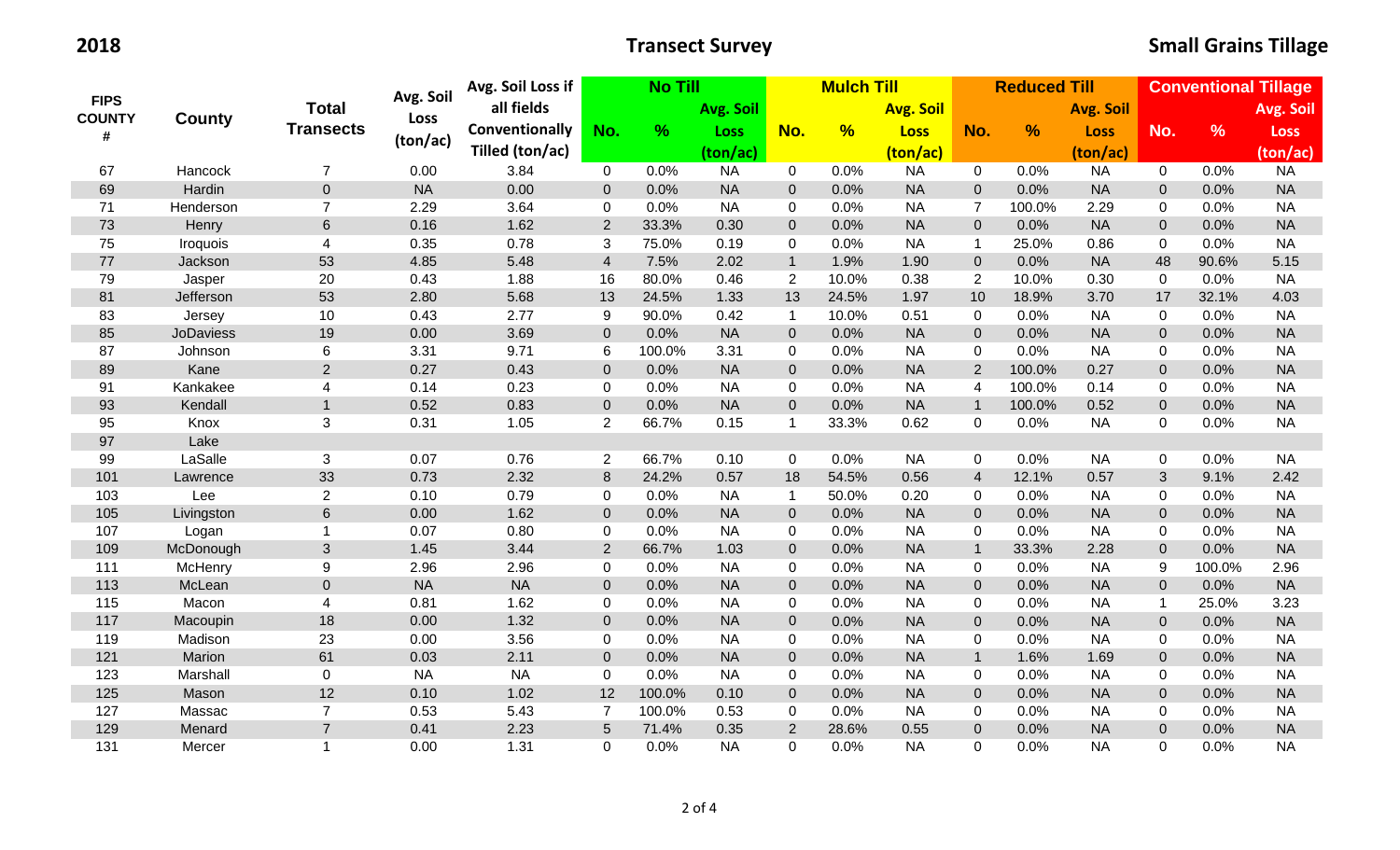| <b>FIPS</b><br><b>COUNTY</b><br># |                  | <b>Total</b>             | Avg. Soil | Avg. Soil Loss if |                  | <b>No Till</b> |             | <b>Mulch Till</b> |               |                  |                         | <b>Reduced Till</b> |                  | <b>Conventional Tillage</b> |               |             |  |
|-----------------------------------|------------------|--------------------------|-----------|-------------------|------------------|----------------|-------------|-------------------|---------------|------------------|-------------------------|---------------------|------------------|-----------------------------|---------------|-------------|--|
|                                   |                  |                          |           | all fields        |                  |                | Avg. Soil   |                   |               | <b>Avg. Soil</b> |                         |                     | <b>Avg. Soil</b> |                             |               | Avg. Soil   |  |
|                                   | County           | <b>Transects</b>         | Loss      | Conventionally    | No.              | %              | <b>Loss</b> | No.               | $\frac{9}{6}$ | <b>Loss</b>      | No.                     | $\frac{9}{6}$       | <b>Loss</b>      | No.                         | $\frac{9}{6}$ | <b>Loss</b> |  |
|                                   |                  |                          | (ton/ac)  | Tilled (ton/ac)   |                  |                | (ton/ac)    |                   |               | (ton/ac)         |                         |                     | (ton/ac)         |                             |               | (ton/ac)    |  |
| 67                                | Hancock          | $\overline{7}$           | 0.00      | 3.84              | $\overline{0}$   | 0.0%           | <b>NA</b>   | $\mathbf 0$       | 0.0%          | <b>NA</b>        | $\mathbf 0$             | 0.0%                | <b>NA</b>        | $\overline{0}$              | 0.0%          | <b>NA</b>   |  |
| 69                                | Hardin           | $\overline{0}$           | <b>NA</b> | 0.00              | $\boldsymbol{0}$ | 0.0%           | <b>NA</b>   | $\overline{0}$    | 0.0%          | <b>NA</b>        | $\overline{0}$          | 0.0%                | <b>NA</b>        | $\mathbf{0}$                | 0.0%          | <b>NA</b>   |  |
| 71                                | Henderson        | $\overline{7}$           | 2.29      | 3.64              | $\pmb{0}$        | 0.0%           | <b>NA</b>   | $\mathbf 0$       | 0.0%          | <b>NA</b>        | $\overline{7}$          | 100.0%              | 2.29             | 0                           | 0.0%          | <b>NA</b>   |  |
| 73                                | Henry            | $6\phantom{1}$           | 0.16      | 1.62              | $\overline{2}$   | 33.3%          | 0.30        | $\overline{0}$    | 0.0%          | <b>NA</b>        | $\mathbf 0$             | 0.0%                | <b>NA</b>        | $\mathbf 0$                 | 0.0%          | <b>NA</b>   |  |
| 75                                | Iroquois         | $\overline{\mathcal{A}}$ | 0.35      | 0.78              | 3                | 75.0%          | 0.19        | $\mathbf 0$       | 0.0%          | <b>NA</b>        | $\mathbf{1}$            | 25.0%               | 0.86             | $\mathbf 0$                 | 0.0%          | <b>NA</b>   |  |
| 77                                | Jackson          | 53                       | 4.85      | 5.48              | $\overline{4}$   | 7.5%           | 2.02        | $\mathbf{1}$      | 1.9%          | 1.90             | $\mathbf 0$             | 0.0%                | <b>NA</b>        | 48                          | 90.6%         | 5.15        |  |
| 79                                | Jasper           | 20                       | 0.43      | 1.88              | 16               | 80.0%          | 0.46        | $\overline{2}$    | 10.0%         | 0.38             | 2                       | 10.0%               | 0.30             | 0                           | 0.0%          | <b>NA</b>   |  |
| 81                                | Jefferson        | 53                       | 2.80      | 5.68              | 13               | 24.5%          | 1.33        | 13                | 24.5%         | 1.97             | 10                      | 18.9%               | 3.70             | 17                          | 32.1%         | 4.03        |  |
| 83                                | Jersey           | 10                       | 0.43      | 2.77              | 9                | 90.0%          | 0.42        | $\mathbf{1}$      | 10.0%         | 0.51             | $\mathbf 0$             | 0.0%                | <b>NA</b>        | 0                           | 0.0%          | <b>NA</b>   |  |
| 85                                | <b>JoDaviess</b> | 19                       | 0.00      | 3.69              | $\boldsymbol{0}$ | 0.0%           | <b>NA</b>   | $\mathbf{0}$      | 0.0%          | <b>NA</b>        | $\mathbf 0$             | 0.0%                | <b>NA</b>        | $\pmb{0}$                   | 0.0%          | <b>NA</b>   |  |
| 87                                | Johnson          | 6                        | 3.31      | 9.71              | $\,6$            | 100.0%         | 3.31        | $\mathbf 0$       | 0.0%          | <b>NA</b>        | $\mathbf 0$             | 0.0%                | <b>NA</b>        | $\mathbf 0$                 | 0.0%          | <b>NA</b>   |  |
| 89                                | Kane             | $\overline{2}$           | 0.27      | 0.43              | $\mathbf{0}$     | 0.0%           | <b>NA</b>   | $\overline{0}$    | 0.0%          | <b>NA</b>        | 2                       | 100.0%              | 0.27             | $\mathbf 0$                 | 0.0%          | <b>NA</b>   |  |
| 91                                | Kankakee         | $\overline{\mathbf{4}}$  | 0.14      | 0.23              | $\pmb{0}$        | 0.0%           | <b>NA</b>   | $\mathbf 0$       | 0.0%          | <b>NA</b>        | $\overline{\mathbf{4}}$ | 100.0%              | 0.14             | 0                           | 0.0%          | <b>NA</b>   |  |
| 93                                | Kendall          | $\mathbf{1}$             | 0.52      | 0.83              | $\boldsymbol{0}$ | 0.0%           | <b>NA</b>   | $\pmb{0}$         | 0.0%          | <b>NA</b>        | $\mathbf{1}$            | 100.0%              | 0.52             | $\pmb{0}$                   | 0.0%          | <b>NA</b>   |  |
| 95                                | Knox             | 3                        | 0.31      | 1.05              | $\overline{2}$   | 66.7%          | 0.15        | $\mathbf{1}$      | 33.3%         | 0.62             | $\overline{0}$          | 0.0%                | <b>NA</b>        | 0                           | 0.0%          | <b>NA</b>   |  |
| 97                                | Lake             |                          |           |                   |                  |                |             |                   |               |                  |                         |                     |                  |                             |               |             |  |
| 99                                | LaSalle          | 3                        | 0.07      | 0.76              | $\overline{2}$   | 66.7%          | 0.10        | $\mathbf 0$       | 0.0%          | <b>NA</b>        | 0                       | 0.0%                | <b>NA</b>        | $\mathbf 0$                 | 0.0%          | <b>NA</b>   |  |
| 101                               | Lawrence         | 33                       | 0.73      | 2.32              | $\,8\,$          | 24.2%          | 0.57        | 18                | 54.5%         | 0.56             | $\overline{4}$          | 12.1%               | 0.57             | 3                           | 9.1%          | 2.42        |  |
| 103                               | Lee              | $\overline{2}$           | 0.10      | 0.79              | $\mathbf 0$      | 0.0%           | <b>NA</b>   | $\mathbf{1}$      | 50.0%         | 0.20             | $\mathbf 0$             | 0.0%                | <b>NA</b>        | 0                           | 0.0%          | <b>NA</b>   |  |
| 105                               | Livingston       | $6\,$                    | 0.00      | 1.62              | $\boldsymbol{0}$ | 0.0%           | <b>NA</b>   | $\overline{0}$    | 0.0%          | <b>NA</b>        | $\mathbf 0$             | 0.0%                | <b>NA</b>        | $\pmb{0}$                   | 0.0%          | <b>NA</b>   |  |
| 107                               | Logan            | $\mathbf{1}$             | 0.07      | 0.80              | $\pmb{0}$        | 0.0%           | <b>NA</b>   | $\mathbf 0$       | 0.0%          | <b>NA</b>        | 0                       | 0.0%                | <b>NA</b>        | $\mathbf 0$                 | 0.0%          | <b>NA</b>   |  |
| 109                               | McDonough        | $\mathfrak{S}$           | 1.45      | 3.44              | $\overline{2}$   | 66.7%          | 1.03        | $\overline{0}$    | 0.0%          | <b>NA</b>        | $\mathbf{1}$            | 33.3%               | 2.28             | $\pmb{0}$                   | 0.0%          | <b>NA</b>   |  |
| 111                               | McHenry          | 9                        | 2.96      | 2.96              | $\pmb{0}$        | 0.0%           | <b>NA</b>   | $\mathbf 0$       | 0.0%          | <b>NA</b>        | $\mathbf 0$             | 0.0%                | <b>NA</b>        | 9                           | 100.0%        | 2.96        |  |
| 113                               | McLean           | $\mathbf 0$              | <b>NA</b> | <b>NA</b>         | $\boldsymbol{0}$ | 0.0%           | <b>NA</b>   | $\mathbf{0}$      | 0.0%          | <b>NA</b>        | $\mathbf 0$             | 0.0%                | <b>NA</b>        | $\mathbf 0$                 | 0.0%          | <b>NA</b>   |  |
| 115                               | Macon            | $\overline{4}$           | 0.81      | 1.62              | $\pmb{0}$        | 0.0%           | <b>NA</b>   | $\mathbf 0$       | 0.0%          | <b>NA</b>        | $\mathbf 0$             | 0.0%                | <b>NA</b>        | 1                           | 25.0%         | 3.23        |  |
| 117                               | Macoupin         | 18                       | 0.00      | 1.32              | $\pmb{0}$        | 0.0%           | <b>NA</b>   | $\pmb{0}$         | 0.0%          | <b>NA</b>        | $\mathbf 0$             | 0.0%                | <b>NA</b>        | $\pmb{0}$                   | 0.0%          | <b>NA</b>   |  |
| 119                               | Madison          | 23                       | 0.00      | 3.56              | $\pmb{0}$        | 0.0%           | <b>NA</b>   | $\mathbf 0$       | 0.0%          | <b>NA</b>        | 0                       | 0.0%                | <b>NA</b>        | 0                           | 0.0%          | <b>NA</b>   |  |
| 121                               | Marion           | 61                       | 0.03      | 2.11              | $\pmb{0}$        | 0.0%           | <b>NA</b>   | $\mathbf 0$       | 0.0%          | <b>NA</b>        | $\mathbf{1}$            | 1.6%                | 1.69             | $\pmb{0}$                   | 0.0%          | <b>NA</b>   |  |
| 123                               | Marshall         | 0                        | <b>NA</b> | <b>NA</b>         | $\pmb{0}$        | 0.0%           | <b>NA</b>   | $\mathbf 0$       | 0.0%          | <b>NA</b>        | 0                       | 0.0%                | <b>NA</b>        | 0                           | 0.0%          | <b>NA</b>   |  |
| 125                               | Mason            | 12                       | 0.10      | 1.02              | 12               | 100.0%         | 0.10        | $\mathbf 0$       | 0.0%          | <b>NA</b>        | $\mathbf{0}$            | 0.0%                | <b>NA</b>        | $\mathbf 0$                 | 0.0%          | <b>NA</b>   |  |
| 127                               | Massac           | $\overline{7}$           | 0.53      | 5.43              | $\overline{7}$   | 100.0%         | 0.53        | $\mathbf 0$       | 0.0%          | <b>NA</b>        | 0                       | 0.0%                | <b>NA</b>        | $\mathbf 0$                 | 0.0%          | <b>NA</b>   |  |
| 129                               | Menard           | $\overline{7}$           | 0.41      | 2.23              | $\overline{5}$   | 71.4%          | 0.35        | $\overline{2}$    | 28.6%         | 0.55             | $\boldsymbol{0}$        | 0.0%                | <b>NA</b>        | $\mathbf 0$                 | 0.0%          | <b>NA</b>   |  |
| 131                               | Mercer           | $\overline{1}$           | 0.00      | 1.31              | $\Omega$         | 0.0%           | <b>NA</b>   | 0                 | 0.0%          | <b>NA</b>        | $\mathbf 0$             | 0.0%                | <b>NA</b>        | $\Omega$                    | 0.0%          | <b>NA</b>   |  |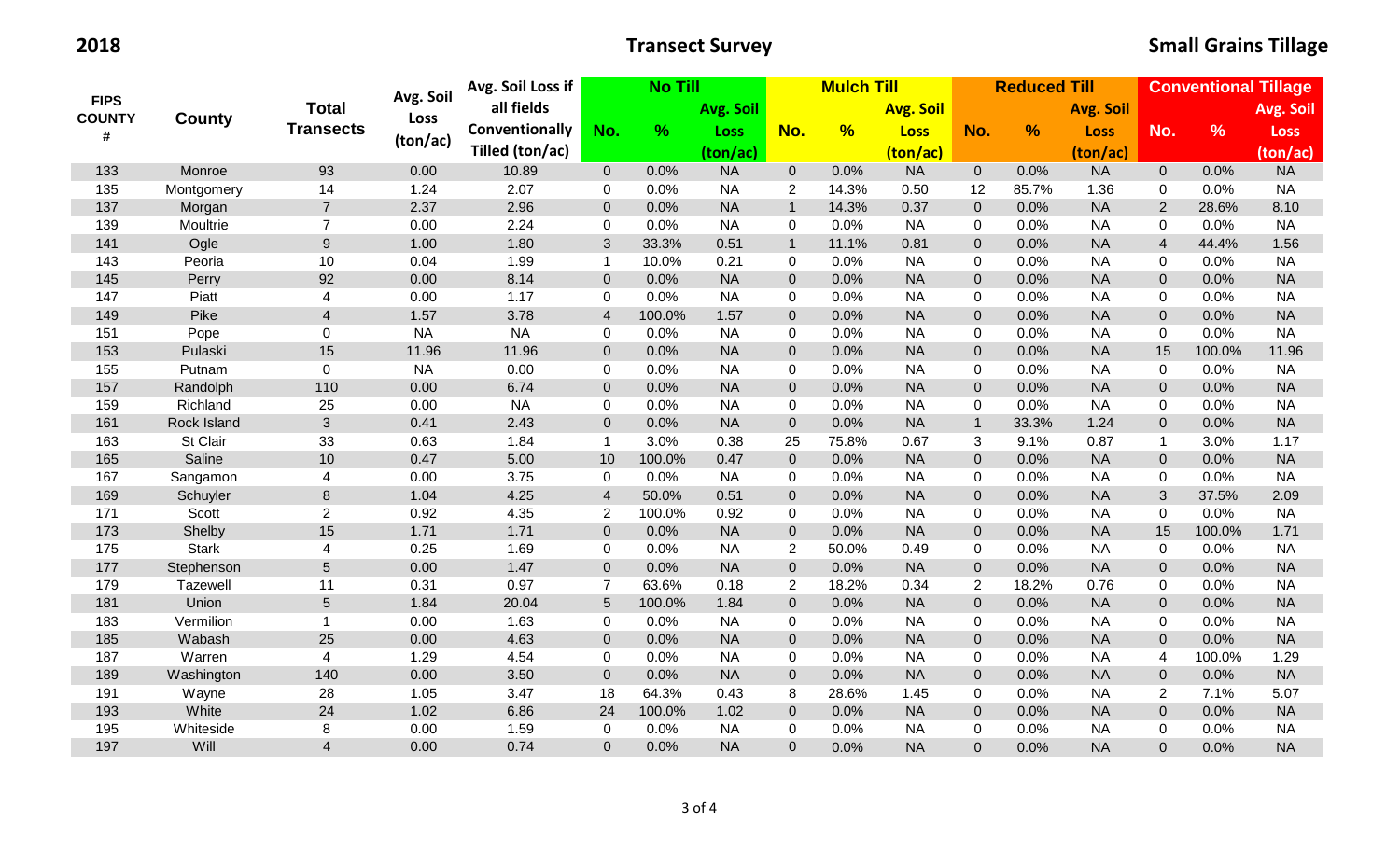| <b>FIPS</b><br><b>COUNTY</b><br># |                 | <b>Total</b>            | Avg. Soil | Avg. Soil Loss if     |                         | <b>No Till</b> |             |                | <b>Mulch Till</b> |                  |                     | <b>Reduced Till</b> |                  | <b>Conventional Tillage</b> |               |             |  |
|-----------------------------------|-----------------|-------------------------|-----------|-----------------------|-------------------------|----------------|-------------|----------------|-------------------|------------------|---------------------|---------------------|------------------|-----------------------------|---------------|-------------|--|
|                                   |                 |                         |           | all fields            |                         |                | Avg. Soil   | No.            |                   | <b>Avg. Soil</b> |                     |                     | <b>Avg. Soil</b> |                             |               | Avg. Soil   |  |
|                                   | County          | <b>Transects</b>        | Loss      | <b>Conventionally</b> | No.                     | %              | <b>Loss</b> |                | $\frac{9}{6}$     | <b>Loss</b>      | No.                 | $\frac{9}{6}$       | <b>Loss</b>      | No.                         | $\frac{9}{6}$ | <b>Loss</b> |  |
|                                   |                 |                         | (ton/ac)  | Tilled (ton/ac)       |                         |                | (ton/ac)    |                |                   | (ton/ac)         |                     |                     | (ton/ac)         |                             |               | (ton/ac)    |  |
| 133                               | Monroe          | 93                      | 0.00      | 10.89                 | $\overline{0}$          | 0.0%           | <b>NA</b>   | $\overline{0}$ | 0.0%              | <b>NA</b>        | $\overline{0}$      | 0.0%                | <b>NA</b>        | $\overline{0}$              | 0.0%          | <b>NA</b>   |  |
| 135                               | Montgomery      | 14                      | 1.24      | 2.07                  | 0                       | 0.0%           | <b>NA</b>   | $\overline{2}$ | 14.3%             | 0.50             | 12                  | 85.7%               | 1.36             | 0                           | 0.0%          | <b>NA</b>   |  |
| 137                               | Morgan          | $\overline{7}$          | 2.37      | 2.96                  | $\mathbf{0}$            | 0.0%           | <b>NA</b>   | $\overline{1}$ | 14.3%             | 0.37             | $\mathbf 0$         | 0.0%                | <b>NA</b>        | $\overline{2}$              | 28.6%         | 8.10        |  |
| 139                               | Moultrie        | $\overline{7}$          | 0.00      | 2.24                  | $\mathbf 0$             | 0.0%           | <b>NA</b>   | $\mathbf 0$    | 0.0%              | <b>NA</b>        | $\mathbf 0$         | 0.0%                | <b>NA</b>        | 0                           | 0.0%          | <b>NA</b>   |  |
| 141                               | Ogle            | 9                       | 1.00      | 1.80                  | 3                       | 33.3%          | 0.51        | $\mathbf{1}$   | 11.1%             | 0.81             | $\mathbf 0$         | 0.0%                | <b>NA</b>        | $\overline{4}$              | 44.4%         | 1.56        |  |
| 143                               | Peoria          | 10                      | 0.04      | 1.99                  | $\mathbf{1}$            | 10.0%          | 0.21        | $\mathbf 0$    | 0.0%              | <b>NA</b>        | $\mathbf 0$         | 0.0%                | <b>NA</b>        | $\mathbf{0}$                | 0.0%          | <b>NA</b>   |  |
| 145                               | Perry           | 92                      | 0.00      | 8.14                  | $\overline{0}$          | 0.0%           | <b>NA</b>   | $\mathbf{0}$   | 0.0%              | <b>NA</b>        | $\mathbf 0$         | 0.0%                | <b>NA</b>        | $\Omega$                    | 0.0%          | <b>NA</b>   |  |
| 147                               | Piatt           | $\overline{4}$          | 0.00      | 1.17                  | $\mathbf 0$             | 0.0%           | <b>NA</b>   | $\mathbf 0$    | 0.0%              | <b>NA</b>        | $\mathbf 0$         | 0.0%                | <b>NA</b>        | 0                           | 0.0%          | <b>NA</b>   |  |
| 149                               | Pike            | $\overline{4}$          | 1.57      | 3.78                  | $\overline{\mathbf{4}}$ | 100.0%         | 1.57        | $\overline{0}$ | 0.0%              | <b>NA</b>        | $\mathbf 0$         | 0.0%                | <b>NA</b>        | $\overline{0}$              | 0.0%          | <b>NA</b>   |  |
| 151                               | Pope            | $\mathbf 0$             | <b>NA</b> | <b>NA</b>             | $\mathbf 0$             | 0.0%           | <b>NA</b>   | $\mathbf 0$    | 0.0%              | <b>NA</b>        | $\mathbf 0$         | 0.0%                | <b>NA</b>        | 0                           | 0.0%          | <b>NA</b>   |  |
| 153                               | Pulaski         | 15                      | 11.96     | 11.96                 | $\boldsymbol{0}$        | 0.0%           | <b>NA</b>   | $\mathbf{0}$   | 0.0%              | <b>NA</b>        | $\boldsymbol{0}$    | 0.0%                | <b>NA</b>        | 15                          | 100.0%        | 11.96       |  |
| 155                               | Putnam          | $\mathbf 0$             | <b>NA</b> | 0.00                  | 0                       | 0.0%           | <b>NA</b>   | $\mathbf 0$    | 0.0%              | <b>NA</b>        | $\mathbf 0$         | 0.0%                | <b>NA</b>        | 0                           | 0.0%          | <b>NA</b>   |  |
| 157                               | Randolph        | 110                     | 0.00      | 6.74                  | $\mathbf 0$             | 0.0%           | <b>NA</b>   | $\mathbf{0}$   | 0.0%              | <b>NA</b>        | $\mathbf 0$         | 0.0%                | <b>NA</b>        | $\mathbf{0}$                | 0.0%          | <b>NA</b>   |  |
| 159                               | Richland        | 25                      | 0.00      | <b>NA</b>             | $\mathbf 0$             | 0.0%           | <b>NA</b>   | $\mathbf 0$    | 0.0%              | <b>NA</b>        | $\mathbf 0$         | 0.0%                | <b>NA</b>        | 0                           | 0.0%          | <b>NA</b>   |  |
| 161                               | Rock Island     | $\mathbf{3}$            | 0.41      | 2.43                  | $\boldsymbol{0}$        | 0.0%           | <b>NA</b>   | $\mathbf 0$    | 0.0%              | <b>NA</b>        | $\mathbf{1}$        | 33.3%               | 1.24             | $\mathbf 0$                 | 0.0%          | <b>NA</b>   |  |
| 163                               | St Clair        | 33                      | 0.63      | 1.84                  | $\mathbf{1}$            | 3.0%           | 0.38        | 25             | 75.8%             | 0.67             | 3                   | 9.1%                | 0.87             | $\mathbf{1}$                | 3.0%          | 1.17        |  |
| 165                               | Saline          | 10                      | 0.47      | 5.00                  | 10                      | 100.0%         | 0.47        | $\overline{0}$ | 0.0%              | <b>NA</b>        | $\boldsymbol{0}$    | 0.0%                | <b>NA</b>        | $\overline{0}$              | 0.0%          | <b>NA</b>   |  |
| 167                               | Sangamon        | $\overline{\mathbf{4}}$ | 0.00      | 3.75                  | $\mathbf 0$             | 0.0%           | <b>NA</b>   | $\mathbf 0$    | 0.0%              | <b>NA</b>        | 0                   | 0.0%                | <b>NA</b>        | 0                           | 0.0%          | <b>NA</b>   |  |
| 169                               | Schuyler        | $\,8\,$                 | 1.04      | 4.25                  | $\overline{4}$          | 50.0%          | 0.51        | $\overline{0}$ | 0.0%              | <b>NA</b>        | $\mathbf 0$         | 0.0%                | <b>NA</b>        | 3                           | 37.5%         | 2.09        |  |
| 171                               | Scott           | 2                       | 0.92      | 4.35                  | $\overline{2}$          | 100.0%         | 0.92        | $\mathbf 0$    | 0.0%              | <b>NA</b>        | $\mathbf 0$         | 0.0%                | <b>NA</b>        | $\mathbf 0$                 | 0.0%          | <b>NA</b>   |  |
| 173                               | Shelby          | 15                      | 1.71      | 1.71                  | $\mathbf 0$             | 0.0%           | <b>NA</b>   | $\overline{0}$ | 0.0%              | <b>NA</b>        | $\boldsymbol{0}$    | 0.0%                | <b>NA</b>        | 15                          | 100.0%        | 1.71        |  |
| 175                               | <b>Stark</b>    | $\overline{\mathbf{4}}$ | 0.25      | 1.69                  | $\mathbf 0$             | 0.0%           | <b>NA</b>   | $\overline{2}$ | 50.0%             | 0.49             | $\mathbf 0$         | 0.0%                | <b>NA</b>        | $\mathbf 0$                 | 0.0%          | <b>NA</b>   |  |
| 177                               | Stephenson      | $5\phantom{.}$          | 0.00      | 1.47                  | $\boldsymbol{0}$        | 0.0%           | <b>NA</b>   | $\pmb{0}$      | 0.0%              | <b>NA</b>        | $\boldsymbol{0}$    | 0.0%                | <b>NA</b>        | $\mathbf 0$                 | 0.0%          | <b>NA</b>   |  |
| 179                               | <b>Tazewell</b> | 11                      | 0.31      | 0.97                  | $\overline{7}$          | 63.6%          | 0.18        | $\overline{2}$ | 18.2%             | 0.34             | 2                   | 18.2%               | 0.76             | 0                           | 0.0%          | <b>NA</b>   |  |
| 181                               | Union           | $5\phantom{.0}$         | 1.84      | 20.04                 | 5                       | 100.0%         | 1.84        | $\pmb{0}$      | 0.0%              | <b>NA</b>        | $\mathsf{O}\xspace$ | 0.0%                | <b>NA</b>        | $\mathbf{0}$                | 0.0%          | <b>NA</b>   |  |
| 183                               | Vermilion       | $\mathbf{1}$            | 0.00      | 1.63                  | $\mathbf 0$             | 0.0%           | <b>NA</b>   | $\mathbf 0$    | 0.0%              | <b>NA</b>        | $\mathbf 0$         | 0.0%                | <b>NA</b>        | 0                           | 0.0%          | <b>NA</b>   |  |
| 185                               | Wabash          | 25                      | 0.00      | 4.63                  | $\boldsymbol{0}$        | 0.0%           | <b>NA</b>   | $\mathbf{0}$   | 0.0%              | <b>NA</b>        | $\boldsymbol{0}$    | 0.0%                | <b>NA</b>        | $\pmb{0}$                   | 0.0%          | <b>NA</b>   |  |
| 187                               | Warren          | 4                       | 1.29      | 4.54                  | $\mathbf 0$             | 0.0%           | <b>NA</b>   | $\mathbf 0$    | 0.0%              | <b>NA</b>        | $\mathbf 0$         | 0.0%                | <b>NA</b>        | 4                           | 100.0%        | 1.29        |  |
| 189                               | Washington      | 140                     | 0.00      | 3.50                  | $\boldsymbol{0}$        | 0.0%           | <b>NA</b>   | $\mathbf 0$    | 0.0%              | <b>NA</b>        | $\boldsymbol{0}$    | 0.0%                | <b>NA</b>        | $\mathbf{0}$                | 0.0%          | <b>NA</b>   |  |
| 191                               | Wayne           | 28                      | 1.05      | 3.47                  | 18                      | 64.3%          | 0.43        | 8              | 28.6%             | 1.45             | 0                   | 0.0%                | <b>NA</b>        | 2                           | 7.1%          | 5.07        |  |
| 193                               | White           | 24                      | 1.02      | 6.86                  | 24                      | 100.0%         | 1.02        | $\mathbf{0}$   | 0.0%              | <b>NA</b>        | $\mathbf 0$         | 0.0%                | <b>NA</b>        | $\overline{0}$              | 0.0%          | <b>NA</b>   |  |
| 195                               | Whiteside       | 8                       | 0.00      | 1.59                  | $\mathbf 0$             | 0.0%           | <b>NA</b>   | $\mathbf 0$    | 0.0%              | <b>NA</b>        | $\mathbf 0$         | 0.0%                | <b>NA</b>        | 0                           | 0.0%          | <b>NA</b>   |  |
| 197                               | Will            | $\overline{4}$          | 0.00      | 0.74                  | $\overline{0}$          | 0.0%           | <b>NA</b>   | $\mathbf 0$    | 0.0%              | <b>NA</b>        | $\mathbf{0}$        | 0.0%                | <b>NA</b>        | $\overline{0}$              | 0.0%          | <b>NA</b>   |  |